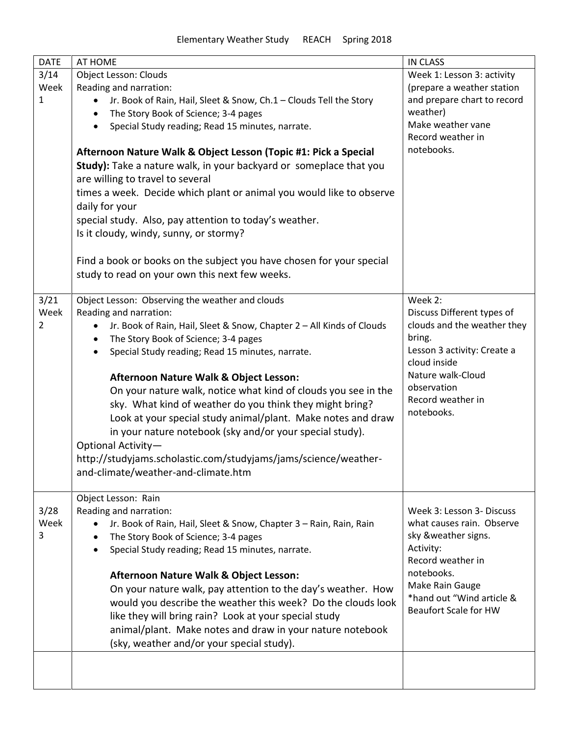| <b>DATE</b> | AT HOME                                                                            | <b>IN CLASS</b>              |
|-------------|------------------------------------------------------------------------------------|------------------------------|
| 3/14        | Object Lesson: Clouds                                                              | Week 1: Lesson 3: activity   |
| Week        | Reading and narration:                                                             | (prepare a weather station   |
| 1           | Jr. Book of Rain, Hail, Sleet & Snow, Ch.1 - Clouds Tell the Story                 | and prepare chart to record  |
|             | The Story Book of Science; 3-4 pages<br>$\bullet$                                  | weather)                     |
|             | Special Study reading; Read 15 minutes, narrate.<br>$\bullet$                      | Make weather vane            |
|             |                                                                                    | Record weather in            |
|             | Afternoon Nature Walk & Object Lesson (Topic #1: Pick a Special                    | notebooks.                   |
|             | Study): Take a nature walk, in your backyard or someplace that you                 |                              |
|             | are willing to travel to several                                                   |                              |
|             | times a week. Decide which plant or animal you would like to observe               |                              |
|             | daily for your                                                                     |                              |
|             | special study. Also, pay attention to today's weather.                             |                              |
|             | Is it cloudy, windy, sunny, or stormy?                                             |                              |
|             |                                                                                    |                              |
|             | Find a book or books on the subject you have chosen for your special               |                              |
|             | study to read on your own this next few weeks.                                     |                              |
|             |                                                                                    |                              |
| 3/21        | Object Lesson: Observing the weather and clouds                                    | Week 2:                      |
| Week        | Reading and narration:                                                             | Discuss Different types of   |
| 2           | Jr. Book of Rain, Hail, Sleet & Snow, Chapter 2 - All Kinds of Clouds<br>$\bullet$ | clouds and the weather they  |
|             | The Story Book of Science; 3-4 pages<br>$\bullet$                                  | bring.                       |
|             | Special Study reading; Read 15 minutes, narrate.                                   | Lesson 3 activity: Create a  |
|             |                                                                                    | cloud inside                 |
|             | Afternoon Nature Walk & Object Lesson:                                             | Nature walk-Cloud            |
|             | On your nature walk, notice what kind of clouds you see in the                     | observation                  |
|             | sky. What kind of weather do you think they might bring?                           | Record weather in            |
|             | Look at your special study animal/plant. Make notes and draw                       | notebooks.                   |
|             | in your nature notebook (sky and/or your special study).                           |                              |
|             | Optional Activity-                                                                 |                              |
|             | http://studyjams.scholastic.com/studyjams/jams/science/weather-                    |                              |
|             | and-climate/weather-and-climate.htm                                                |                              |
|             |                                                                                    |                              |
|             | Object Lesson: Rain                                                                |                              |
| 3/28        | Reading and narration:                                                             | Week 3: Lesson 3- Discuss    |
| Week        | Jr. Book of Rain, Hail, Sleet & Snow, Chapter 3 - Rain, Rain, Rain                 | what causes rain. Observe    |
| 3           | The Story Book of Science; 3-4 pages<br>$\bullet$                                  | sky &weather signs.          |
|             | Special Study reading; Read 15 minutes, narrate.<br>$\bullet$                      | Activity:                    |
|             |                                                                                    | Record weather in            |
|             | Afternoon Nature Walk & Object Lesson:                                             | notebooks.                   |
|             | On your nature walk, pay attention to the day's weather. How                       | Make Rain Gauge              |
|             | would you describe the weather this week? Do the clouds look                       | *hand out "Wind article &    |
|             | like they will bring rain? Look at your special study                              | <b>Beaufort Scale for HW</b> |
|             | animal/plant. Make notes and draw in your nature notebook                          |                              |
|             | (sky, weather and/or your special study).                                          |                              |
|             |                                                                                    |                              |
|             |                                                                                    |                              |
|             |                                                                                    |                              |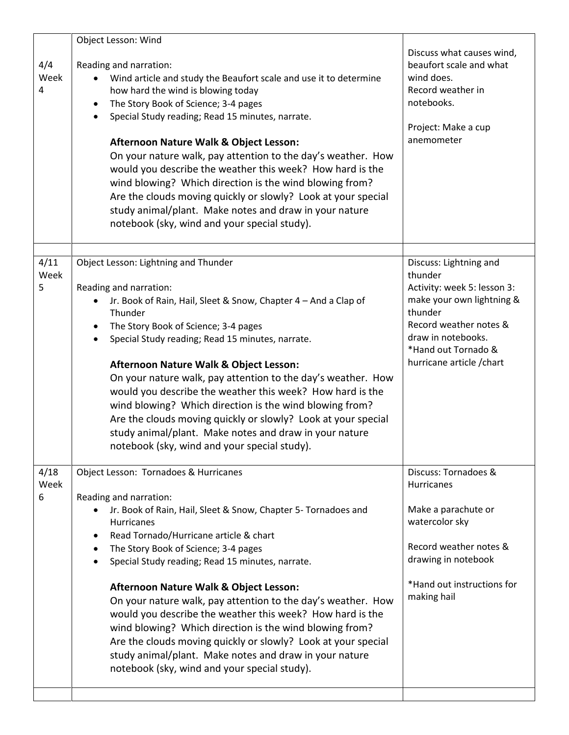| 4/4<br>Week<br>4  | Object Lesson: Wind<br>Reading and narration:<br>Wind article and study the Beaufort scale and use it to determine<br>how hard the wind is blowing today<br>The Story Book of Science; 3-4 pages<br>$\bullet$<br>Special Study reading; Read 15 minutes, narrate.<br>$\bullet$<br>Afternoon Nature Walk & Object Lesson:<br>On your nature walk, pay attention to the day's weather. How<br>would you describe the weather this week? How hard is the<br>wind blowing? Which direction is the wind blowing from?<br>Are the clouds moving quickly or slowly? Look at your special<br>study animal/plant. Make notes and draw in your nature<br>notebook (sky, wind and your special study).                                       | Discuss what causes wind,<br>beaufort scale and what<br>wind does.<br>Record weather in<br>notebooks.<br>Project: Make a cup<br>anemometer                                                                   |
|-------------------|-----------------------------------------------------------------------------------------------------------------------------------------------------------------------------------------------------------------------------------------------------------------------------------------------------------------------------------------------------------------------------------------------------------------------------------------------------------------------------------------------------------------------------------------------------------------------------------------------------------------------------------------------------------------------------------------------------------------------------------|--------------------------------------------------------------------------------------------------------------------------------------------------------------------------------------------------------------|
| 4/11<br>Week<br>5 | Object Lesson: Lightning and Thunder<br>Reading and narration:<br>Jr. Book of Rain, Hail, Sleet & Snow, Chapter 4 - And a Clap of<br>$\bullet$<br>Thunder<br>The Story Book of Science; 3-4 pages<br>$\bullet$<br>Special Study reading; Read 15 minutes, narrate.<br>Afternoon Nature Walk & Object Lesson:<br>On your nature walk, pay attention to the day's weather. How<br>would you describe the weather this week? How hard is the<br>wind blowing? Which direction is the wind blowing from?<br>Are the clouds moving quickly or slowly? Look at your special<br>study animal/plant. Make notes and draw in your nature<br>notebook (sky, wind and your special study).                                                   | Discuss: Lightning and<br>thunder<br>Activity: week 5: lesson 3:<br>make your own lightning &<br>thunder<br>Record weather notes &<br>draw in notebooks.<br>*Hand out Tornado &<br>hurricane article / chart |
| 4/18<br>Week<br>6 | Object Lesson: Tornadoes & Hurricanes<br>Reading and narration:<br>Jr. Book of Rain, Hail, Sleet & Snow, Chapter 5- Tornadoes and<br>Hurricanes<br>Read Tornado/Hurricane article & chart<br>٠<br>The Story Book of Science; 3-4 pages<br>$\bullet$<br>Special Study reading; Read 15 minutes, narrate.<br>$\bullet$<br>Afternoon Nature Walk & Object Lesson:<br>On your nature walk, pay attention to the day's weather. How<br>would you describe the weather this week? How hard is the<br>wind blowing? Which direction is the wind blowing from?<br>Are the clouds moving quickly or slowly? Look at your special<br>study animal/plant. Make notes and draw in your nature<br>notebook (sky, wind and your special study). | Discuss: Tornadoes &<br>Hurricanes<br>Make a parachute or<br>watercolor sky<br>Record weather notes &<br>drawing in notebook<br>*Hand out instructions for<br>making hail                                    |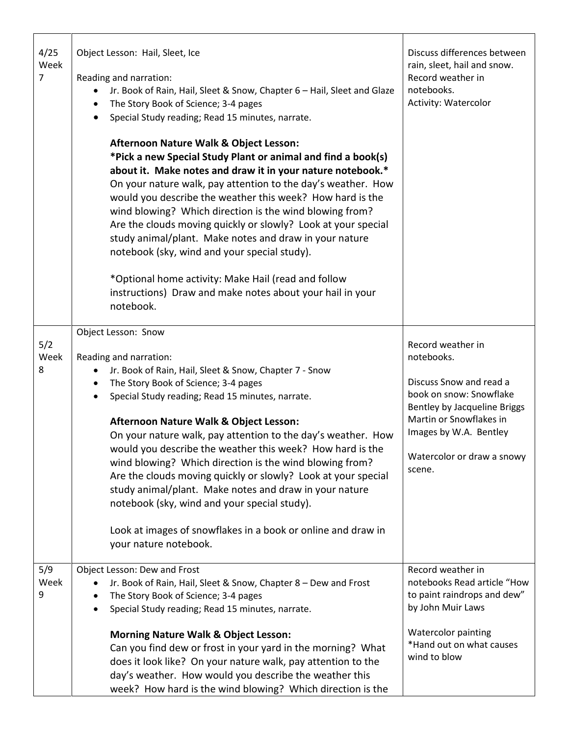| 4/25<br>Week<br>$\overline{7}$ | Object Lesson: Hail, Sleet, Ice<br>Reading and narration:<br>Jr. Book of Rain, Hail, Sleet & Snow, Chapter 6 - Hail, Sleet and Glaze<br>The Story Book of Science; 3-4 pages<br>Special Study reading; Read 15 minutes, narrate.<br>$\bullet$<br><b>Afternoon Nature Walk &amp; Object Lesson:</b><br>*Pick a new Special Study Plant or animal and find a book(s)<br>about it. Make notes and draw it in your nature notebook.*<br>On your nature walk, pay attention to the day's weather. How<br>would you describe the weather this week? How hard is the<br>wind blowing? Which direction is the wind blowing from?<br>Are the clouds moving quickly or slowly? Look at your special<br>study animal/plant. Make notes and draw in your nature<br>notebook (sky, wind and your special study).<br>*Optional home activity: Make Hail (read and follow<br>instructions) Draw and make notes about your hail in your<br>notebook. | Discuss differences between<br>rain, sleet, hail and snow.<br>Record weather in<br>notebooks.<br><b>Activity: Watercolor</b>                                                                                       |
|--------------------------------|--------------------------------------------------------------------------------------------------------------------------------------------------------------------------------------------------------------------------------------------------------------------------------------------------------------------------------------------------------------------------------------------------------------------------------------------------------------------------------------------------------------------------------------------------------------------------------------------------------------------------------------------------------------------------------------------------------------------------------------------------------------------------------------------------------------------------------------------------------------------------------------------------------------------------------------|--------------------------------------------------------------------------------------------------------------------------------------------------------------------------------------------------------------------|
| 5/2<br>Week<br>8               | Object Lesson: Snow<br>Reading and narration:<br>Jr. Book of Rain, Hail, Sleet & Snow, Chapter 7 - Snow<br>The Story Book of Science; 3-4 pages<br>٠<br>Special Study reading; Read 15 minutes, narrate.<br>$\bullet$<br><b>Afternoon Nature Walk &amp; Object Lesson:</b><br>On your nature walk, pay attention to the day's weather. How<br>would you describe the weather this week? How hard is the<br>wind blowing? Which direction is the wind blowing from?<br>Are the clouds moving quickly or slowly? Look at your special<br>study animal/plant. Make notes and draw in your nature<br>notebook (sky, wind and your special study).<br>Look at images of snowflakes in a book or online and draw in<br>your nature notebook.                                                                                                                                                                                               | Record weather in<br>notebooks.<br>Discuss Snow and read a<br>book on snow: Snowflake<br>Bentley by Jacqueline Briggs<br>Martin or Snowflakes in<br>Images by W.A. Bentley<br>Watercolor or draw a snowy<br>scene. |
| 5/9<br>Week<br>9               | Object Lesson: Dew and Frost<br>Jr. Book of Rain, Hail, Sleet & Snow, Chapter 8 - Dew and Frost<br>The Story Book of Science; 3-4 pages<br>Special Study reading; Read 15 minutes, narrate.<br><b>Morning Nature Walk &amp; Object Lesson:</b><br>Can you find dew or frost in your yard in the morning? What<br>does it look like? On your nature walk, pay attention to the<br>day's weather. How would you describe the weather this<br>week? How hard is the wind blowing? Which direction is the                                                                                                                                                                                                                                                                                                                                                                                                                                | Record weather in<br>notebooks Read article "How<br>to paint raindrops and dew"<br>by John Muir Laws<br><b>Watercolor painting</b><br>*Hand out on what causes<br>wind to blow                                     |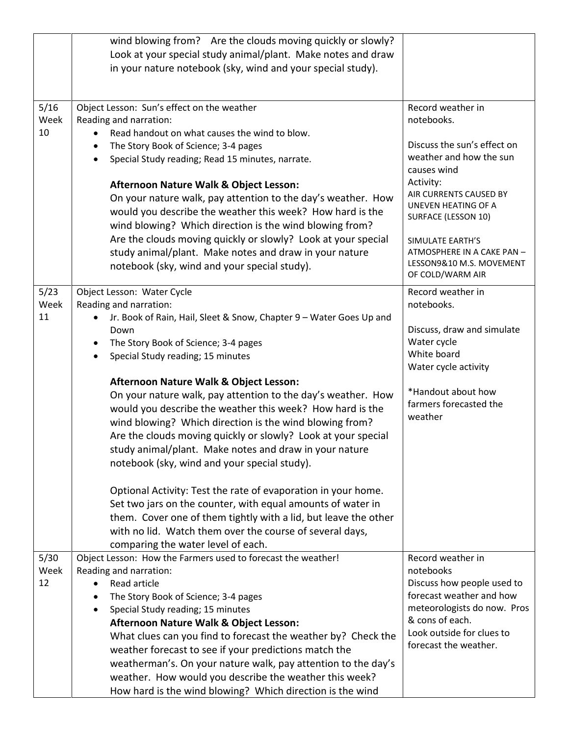|                    | wind blowing from? Are the clouds moving quickly or slowly?<br>Look at your special study animal/plant. Make notes and draw<br>in your nature notebook (sky, wind and your special study).                                                                                                                                                                                                                                                                                                                                                                                                                                                                                                                                                                                                                                                                                                                                                                   |                                                                                                                                                                                                                                                                                                 |
|--------------------|--------------------------------------------------------------------------------------------------------------------------------------------------------------------------------------------------------------------------------------------------------------------------------------------------------------------------------------------------------------------------------------------------------------------------------------------------------------------------------------------------------------------------------------------------------------------------------------------------------------------------------------------------------------------------------------------------------------------------------------------------------------------------------------------------------------------------------------------------------------------------------------------------------------------------------------------------------------|-------------------------------------------------------------------------------------------------------------------------------------------------------------------------------------------------------------------------------------------------------------------------------------------------|
| 5/16<br>Week<br>10 | Object Lesson: Sun's effect on the weather<br>Reading and narration:<br>Read handout on what causes the wind to blow.<br>The Story Book of Science; 3-4 pages<br>$\bullet$<br>Special Study reading; Read 15 minutes, narrate.<br>$\bullet$<br>Afternoon Nature Walk & Object Lesson:<br>On your nature walk, pay attention to the day's weather. How<br>would you describe the weather this week? How hard is the<br>wind blowing? Which direction is the wind blowing from?<br>Are the clouds moving quickly or slowly? Look at your special<br>study animal/plant. Make notes and draw in your nature<br>notebook (sky, wind and your special study).                                                                                                                                                                                                                                                                                                     | Record weather in<br>notebooks.<br>Discuss the sun's effect on<br>weather and how the sun<br>causes wind<br>Activity:<br>AIR CURRENTS CAUSED BY<br>UNEVEN HEATING OF A<br>SURFACE (LESSON 10)<br>SIMULATE EARTH'S<br>ATMOSPHERE IN A CAKE PAN -<br>LESSON9&10 M.S. MOVEMENT<br>OF COLD/WARM AIR |
| 5/23<br>Week<br>11 | Object Lesson: Water Cycle<br>Reading and narration:<br>Jr. Book of Rain, Hail, Sleet & Snow, Chapter 9 - Water Goes Up and<br>Down<br>The Story Book of Science; 3-4 pages<br>$\bullet$<br>Special Study reading; 15 minutes<br>$\bullet$<br>Afternoon Nature Walk & Object Lesson:<br>On your nature walk, pay attention to the day's weather. How<br>would you describe the weather this week? How hard is the<br>wind blowing? Which direction is the wind blowing from?<br>Are the clouds moving quickly or slowly? Look at your special<br>study animal/plant. Make notes and draw in your nature<br>notebook (sky, wind and your special study).<br>Optional Activity: Test the rate of evaporation in your home.<br>Set two jars on the counter, with equal amounts of water in<br>them. Cover one of them tightly with a lid, but leave the other<br>with no lid. Watch them over the course of several days,<br>comparing the water level of each. | Record weather in<br>notebooks.<br>Discuss, draw and simulate<br>Water cycle<br>White board<br>Water cycle activity<br>*Handout about how<br>farmers forecasted the<br>weather                                                                                                                  |
| 5/30<br>Week<br>12 | Object Lesson: How the Farmers used to forecast the weather!<br>Reading and narration:<br>Read article<br>The Story Book of Science; 3-4 pages<br>$\bullet$<br>Special Study reading; 15 minutes<br>$\bullet$<br>Afternoon Nature Walk & Object Lesson:<br>What clues can you find to forecast the weather by? Check the<br>weather forecast to see if your predictions match the<br>weatherman's. On your nature walk, pay attention to the day's<br>weather. How would you describe the weather this week?<br>How hard is the wind blowing? Which direction is the wind                                                                                                                                                                                                                                                                                                                                                                                    | Record weather in<br>notebooks<br>Discuss how people used to<br>forecast weather and how<br>meteorologists do now. Pros<br>& cons of each.<br>Look outside for clues to<br>forecast the weather.                                                                                                |